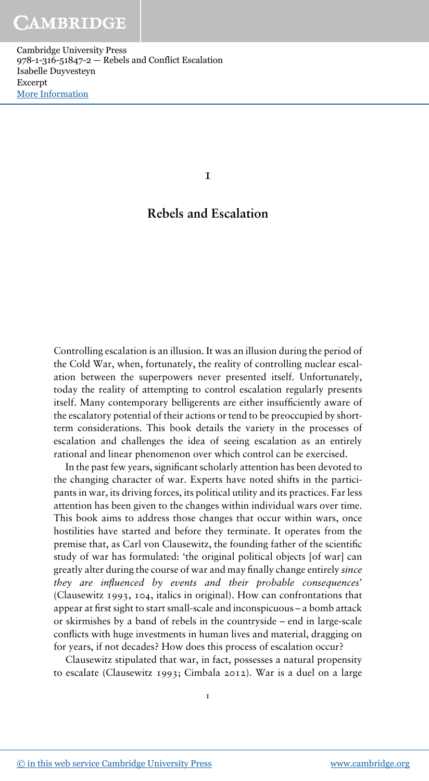1

# Rebels and Escalation

Controlling escalation is an illusion. It was an illusion during the period of the Cold War, when, fortunately, the reality of controlling nuclear escalation between the superpowers never presented itself. Unfortunately, today the reality of attempting to control escalation regularly presents itself. Many contemporary belligerents are either insufficiently aware of the escalatory potential of their actions or tend to be preoccupied by shortterm considerations. This book details the variety in the processes of escalation and challenges the idea of seeing escalation as an entirely rational and linear phenomenon over which control can be exercised.

In the past few years, significant scholarly attention has been devoted to the changing character of war. Experts have noted shifts in the participants in war, its driving forces, its political utility and its practices. Far less attention has been given to the changes within individual wars over time. This book aims to address those changes that occur within wars, once hostilities have started and before they terminate. It operates from the premise that, as Carl von Clausewitz, the founding father of the scientific study of war has formulated: 'the original political objects [of war] can greatly alter during the course of war and may finally change entirely since they are influenced by events and their probable consequences' (Clausewitz 1993, 104, italics in original). How can confrontations that appear at first sight to start small-scale and inconspicuous – a bomb attack or skirmishes by a band of rebels in the countryside – end in large-scale conflicts with huge investments in human lives and material, dragging on for years, if not decades? How does this process of escalation occur?

Clausewitz stipulated that war, in fact, possesses a natural propensity to escalate (Clausewitz 1993; Cimbala 2012). War is a duel on a large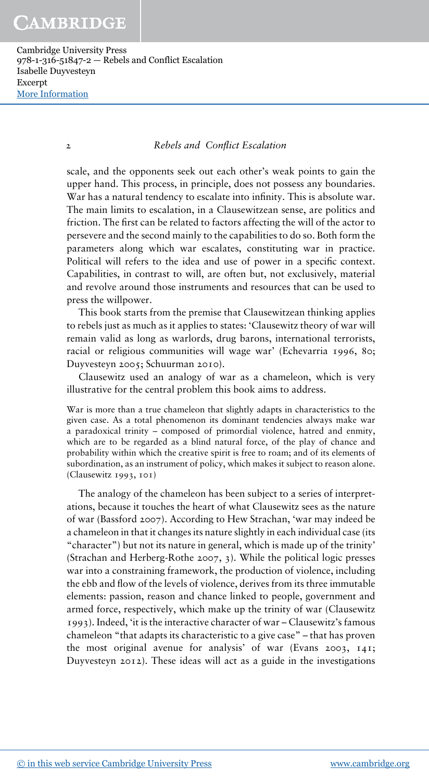#### 2 Rebels and Conflict Escalation

scale, and the opponents seek out each other's weak points to gain the upper hand. This process, in principle, does not possess any boundaries. War has a natural tendency to escalate into infinity. This is absolute war. The main limits to escalation, in a Clausewitzean sense, are politics and friction. The first can be related to factors affecting the will of the actor to persevere and the second mainly to the capabilities to do so. Both form the parameters along which war escalates, constituting war in practice. Political will refers to the idea and use of power in a specific context. Capabilities, in contrast to will, are often but, not exclusively, material and revolve around those instruments and resources that can be used to press the willpower.

This book starts from the premise that Clausewitzean thinking applies to rebels just as much as it applies to states: 'Clausewitz theory of war will remain valid as long as warlords, drug barons, international terrorists, racial or religious communities will wage war' (Echevarria 1996, 80; Duyvesteyn 2005; Schuurman 2010).

Clausewitz used an analogy of war as a chameleon, which is very illustrative for the central problem this book aims to address.

War is more than a true chameleon that slightly adapts in characteristics to the given case. As a total phenomenon its dominant tendencies always make war a paradoxical trinity – composed of primordial violence, hatred and enmity, which are to be regarded as a blind natural force, of the play of chance and probability within which the creative spirit is free to roam; and of its elements of subordination, as an instrument of policy, which makes it subject to reason alone. (Clausewitz 1993, 101)

The analogy of the chameleon has been subject to a series of interpretations, because it touches the heart of what Clausewitz sees as the nature of war (Bassford 2007). According to Hew Strachan, 'war may indeed be a chameleon in that it changes its nature slightly in each individual case (its "character") but not its nature in general, which is made up of the trinity' (Strachan and Herberg-Rothe 2007, 3). While the political logic presses war into a constraining framework, the production of violence, including the ebb and flow of the levels of violence, derives from its three immutable elements: passion, reason and chance linked to people, government and armed force, respectively, which make up the trinity of war (Clausewitz 1993). Indeed, 'it is the interactive character of war – Clausewitz's famous chameleon "that adapts its characteristic to a give case" – that has proven the most original avenue for analysis' of war (Evans 2003, 141; Duyvesteyn 2012). These ideas will act as a guide in the investigations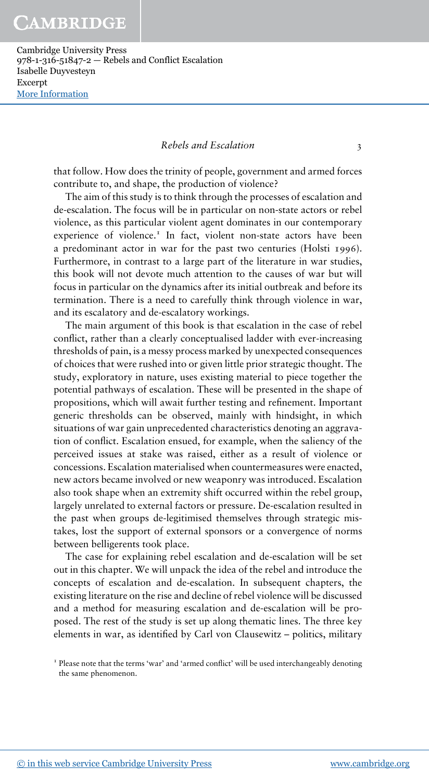### Rebels and Escalation 3

that follow. How does the trinity of people, government and armed forces contribute to, and shape, the production of violence?

The aim of this study is to think through the processes of escalation and de-escalation. The focus will be in particular on non-state actors or rebel violence, as this particular violent agent dominates in our contemporary experience of violence.<sup>1</sup> In fact, violent non-state actors have been a predominant actor in war for the past two centuries (Holsti 1996). Furthermore, in contrast to a large part of the literature in war studies, this book will not devote much attention to the causes of war but will focus in particular on the dynamics after its initial outbreak and before its termination. There is a need to carefully think through violence in war, and its escalatory and de-escalatory workings.

The main argument of this book is that escalation in the case of rebel conflict, rather than a clearly conceptualised ladder with ever-increasing thresholds of pain, is a messy process marked by unexpected consequences of choices that were rushed into or given little prior strategic thought. The study, exploratory in nature, uses existing material to piece together the potential pathways of escalation. These will be presented in the shape of propositions, which will await further testing and refinement. Important generic thresholds can be observed, mainly with hindsight, in which situations of war gain unprecedented characteristics denoting an aggravation of conflict. Escalation ensued, for example, when the saliency of the perceived issues at stake was raised, either as a result of violence or concessions. Escalation materialised when countermeasures were enacted, new actors became involved or new weaponry was introduced. Escalation also took shape when an extremity shift occurred within the rebel group, largely unrelated to external factors or pressure. De-escalation resulted in the past when groups de-legitimised themselves through strategic mistakes, lost the support of external sponsors or a convergence of norms between belligerents took place.

The case for explaining rebel escalation and de-escalation will be set out in this chapter. We will unpack the idea of the rebel and introduce the concepts of escalation and de-escalation. In subsequent chapters, the existing literature on the rise and decline of rebel violence will be discussed and a method for measuring escalation and de-escalation will be proposed. The rest of the study is set up along thematic lines. The three key elements in war, as identified by Carl von Clausewitz – politics, military

I Please note that the terms 'war' and 'armed conflict' will be used interchangeably denoting the same phenomenon.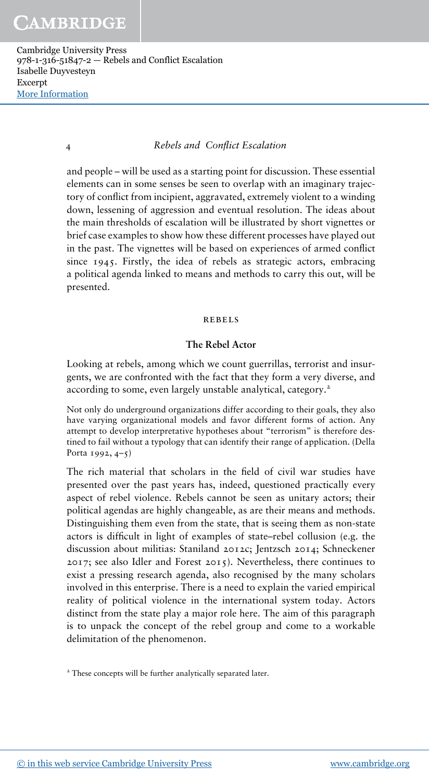# 4 Rebels and Conflict Escalation

and people – will be used as a starting point for discussion. These essential elements can in some senses be seen to overlap with an imaginary trajectory of conflict from incipient, aggravated, extremely violent to a winding down, lessening of aggression and eventual resolution. The ideas about the main thresholds of escalation will be illustrated by short vignettes or brief case examples to show how these different processes have played out in the past. The vignettes will be based on experiences of armed conflict since 1945. Firstly, the idea of rebels as strategic actors, embracing a political agenda linked to means and methods to carry this out, will be presented.

#### rebels

# The Rebel Actor

Looking at rebels, among which we count guerrillas, terrorist and insurgents, we are confronted with the fact that they form a very diverse, and according to some, even largely unstable analytical, category.<sup>2</sup>

Not only do underground organizations differ according to their goals, they also have varying organizational models and favor different forms of action. Any attempt to develop interpretative hypotheses about "terrorism" is therefore destined to fail without a typology that can identify their range of application. (Della Porta 1992,  $4-5$ )

The rich material that scholars in the field of civil war studies have presented over the past years has, indeed, questioned practically every aspect of rebel violence. Rebels cannot be seen as unitary actors; their political agendas are highly changeable, as are their means and methods. Distinguishing them even from the state, that is seeing them as non-state actors is difficult in light of examples of state–rebel collusion (e.g. the discussion about militias: Staniland 2012c; Jentzsch 2014; Schneckener 2017; see also Idler and Forest 2015). Nevertheless, there continues to exist a pressing research agenda, also recognised by the many scholars involved in this enterprise. There is a need to explain the varied empirical reality of political violence in the international system today. Actors distinct from the state play a major role here. The aim of this paragraph is to unpack the concept of the rebel group and come to a workable delimitation of the phenomenon.

<sup>2</sup> These concepts will be further analytically separated later.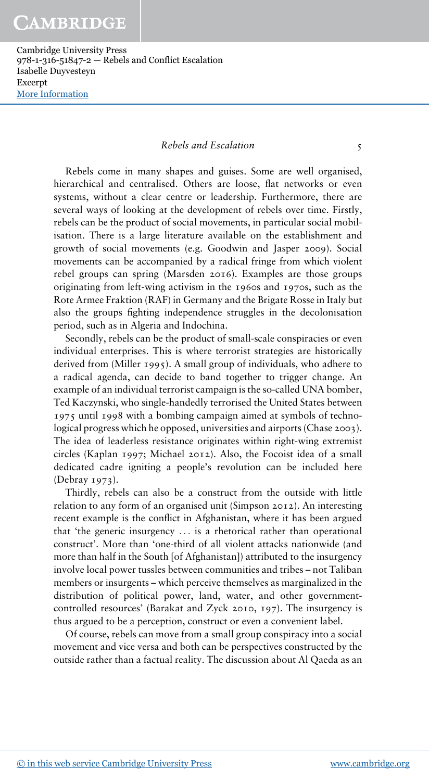### Rebels and Escalation 5

Rebels come in many shapes and guises. Some are well organised, hierarchical and centralised. Others are loose, flat networks or even systems, without a clear centre or leadership. Furthermore, there are several ways of looking at the development of rebels over time. Firstly, rebels can be the product of social movements, in particular social mobilisation. There is a large literature available on the establishment and growth of social movements (e.g. Goodwin and Jasper 2009). Social movements can be accompanied by a radical fringe from which violent rebel groups can spring (Marsden 2016). Examples are those groups originating from left-wing activism in the 1960s and 1970s, such as the Rote Armee Fraktion (RAF) in Germany and the Brigate Rosse in Italy but also the groups fighting independence struggles in the decolonisation period, such as in Algeria and Indochina.

Secondly, rebels can be the product of small-scale conspiracies or even individual enterprises. This is where terrorist strategies are historically derived from (Miller 1995). A small group of individuals, who adhere to a radical agenda, can decide to band together to trigger change. An example of an individual terrorist campaign is the so-called UNA bomber, Ted Kaczynski, who single-handedly terrorised the United States between 1975 until 1998 with a bombing campaign aimed at symbols of technological progress which he opposed, universities and airports (Chase 2003). The idea of leaderless resistance originates within right-wing extremist circles (Kaplan 1997; Michael 2012). Also, the Focoist idea of a small dedicated cadre igniting a people's revolution can be included here (Debray 1973).

Thirdly, rebels can also be a construct from the outside with little relation to any form of an organised unit (Simpson 2012). An interesting recent example is the conflict in Afghanistan, where it has been argued that 'the generic insurgency ... is a rhetorical rather than operational construct'. More than 'one-third of all violent attacks nationwide (and more than half in the South [of Afghanistan]) attributed to the insurgency involve local power tussles between communities and tribes – not Taliban members or insurgents – which perceive themselves as marginalized in the distribution of political power, land, water, and other governmentcontrolled resources' (Barakat and Zyck 2010, 197). The insurgency is thus argued to be a perception, construct or even a convenient label.

Of course, rebels can move from a small group conspiracy into a social movement and vice versa and both can be perspectives constructed by the outside rather than a factual reality. The discussion about Al Qaeda as an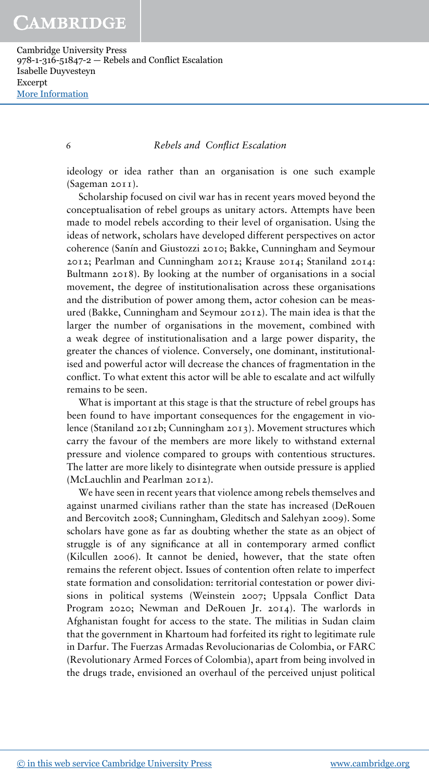# 6 Rebels and Conflict Escalation

ideology or idea rather than an organisation is one such example (Sageman 2011).

Scholarship focused on civil war has in recent years moved beyond the conceptualisation of rebel groups as unitary actors. Attempts have been made to model rebels according to their level of organisation. Using the ideas of network, scholars have developed different perspectives on actor coherence (Sanín and Giustozzi 2010; Bakke, Cunningham and Seymour 2012; Pearlman and Cunningham 2012; Krause 2014; Staniland 2014: Bultmann 2018). By looking at the number of organisations in a social movement, the degree of institutionalisation across these organisations and the distribution of power among them, actor cohesion can be measured (Bakke, Cunningham and Seymour 2012). The main idea is that the larger the number of organisations in the movement, combined with a weak degree of institutionalisation and a large power disparity, the greater the chances of violence. Conversely, one dominant, institutionalised and powerful actor will decrease the chances of fragmentation in the conflict. To what extent this actor will be able to escalate and act wilfully remains to be seen.

What is important at this stage is that the structure of rebel groups has been found to have important consequences for the engagement in violence (Staniland 2012b; Cunningham 2013). Movement structures which carry the favour of the members are more likely to withstand external pressure and violence compared to groups with contentious structures. The latter are more likely to disintegrate when outside pressure is applied (McLauchlin and Pearlman 2012).

We have seen in recent years that violence among rebels themselves and against unarmed civilians rather than the state has increased (DeRouen and Bercovitch 2008; Cunningham, Gleditsch and Salehyan 2009). Some scholars have gone as far as doubting whether the state as an object of struggle is of any significance at all in contemporary armed conflict (Kilcullen 2006). It cannot be denied, however, that the state often remains the referent object. Issues of contention often relate to imperfect state formation and consolidation: territorial contestation or power divisions in political systems (Weinstein 2007; Uppsala Conflict Data Program 2020; Newman and DeRouen Jr. 2014). The warlords in Afghanistan fought for access to the state. The militias in Sudan claim that the government in Khartoum had forfeited its right to legitimate rule in Darfur. The Fuerzas Armadas Revolucionarias de Colombia, or FARC (Revolutionary Armed Forces of Colombia), apart from being involved in the drugs trade, envisioned an overhaul of the perceived unjust political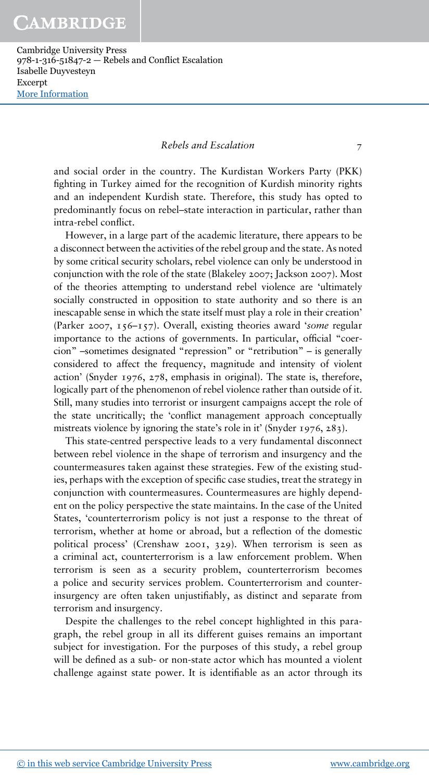# Rebels and Escalation 7

and social order in the country. The Kurdistan Workers Party (PKK) fighting in Turkey aimed for the recognition of Kurdish minority rights and an independent Kurdish state. Therefore, this study has opted to predominantly focus on rebel–state interaction in particular, rather than intra-rebel conflict.

However, in a large part of the academic literature, there appears to be a disconnect between the activities of the rebel group and the state. As noted by some critical security scholars, rebel violence can only be understood in conjunction with the role of the state (Blakeley 2007; Jackson 2007). Most of the theories attempting to understand rebel violence are 'ultimately socially constructed in opposition to state authority and so there is an inescapable sense in which the state itself must play a role in their creation' (Parker 2007, 156–157). Overall, existing theories award 'some regular importance to the actions of governments. In particular, official "coercion" –sometimes designated "repression" or "retribution" – is generally considered to affect the frequency, magnitude and intensity of violent action' (Snyder 1976, 278, emphasis in original). The state is, therefore, logically part of the phenomenon of rebel violence rather than outside of it. Still, many studies into terrorist or insurgent campaigns accept the role of the state uncritically; the 'conflict management approach conceptually mistreats violence by ignoring the state's role in it' (Snyder 1976, 283).

This state-centred perspective leads to a very fundamental disconnect between rebel violence in the shape of terrorism and insurgency and the countermeasures taken against these strategies. Few of the existing studies, perhaps with the exception of specific case studies, treat the strategy in conjunction with countermeasures. Countermeasures are highly dependent on the policy perspective the state maintains. In the case of the United States, 'counterterrorism policy is not just a response to the threat of terrorism, whether at home or abroad, but a reflection of the domestic political process' (Crenshaw 2001, 329). When terrorism is seen as a criminal act, counterterrorism is a law enforcement problem. When terrorism is seen as a security problem, counterterrorism becomes a police and security services problem. Counterterrorism and counterinsurgency are often taken unjustifiably, as distinct and separate from terrorism and insurgency.

Despite the challenges to the rebel concept highlighted in this paragraph, the rebel group in all its different guises remains an important subject for investigation. For the purposes of this study, a rebel group will be defined as a sub- or non-state actor which has mounted a violent challenge against state power. It is identifiable as an actor through its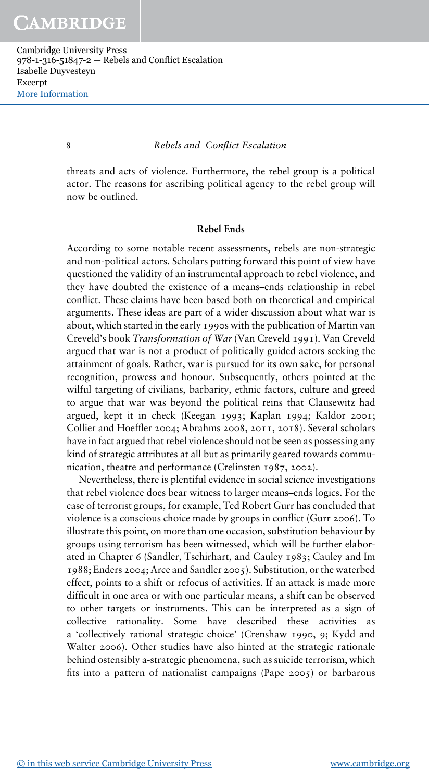#### 8 Rebels and Conflict Escalation

threats and acts of violence. Furthermore, the rebel group is a political actor. The reasons for ascribing political agency to the rebel group will now be outlined.

#### Rebel Ends

According to some notable recent assessments, rebels are non-strategic and non-political actors. Scholars putting forward this point of view have questioned the validity of an instrumental approach to rebel violence, and they have doubted the existence of a means–ends relationship in rebel conflict. These claims have been based both on theoretical and empirical arguments. These ideas are part of a wider discussion about what war is about, which started in the early 1990s with the publication of Martin van Creveld's book Transformation of War (Van Creveld 1991). Van Creveld argued that war is not a product of politically guided actors seeking the attainment of goals. Rather, war is pursued for its own sake, for personal recognition, prowess and honour. Subsequently, others pointed at the wilful targeting of civilians, barbarity, ethnic factors, culture and greed to argue that war was beyond the political reins that Clausewitz had argued, kept it in check (Keegan 1993; Kaplan 1994; Kaldor 2001; Collier and Hoeffler 2004; Abrahms 2008, 2011, 2018). Several scholars have in fact argued that rebel violence should not be seen as possessing any kind of strategic attributes at all but as primarily geared towards communication, theatre and performance (Crelinsten 1987, 2002).

Nevertheless, there is plentiful evidence in social science investigations that rebel violence does bear witness to larger means–ends logics. For the case of terrorist groups, for example, Ted Robert Gurr has concluded that violence is a conscious choice made by groups in conflict (Gurr 2006). To illustrate this point, on more than one occasion, substitution behaviour by groups using terrorism has been witnessed, which will be further elaborated in Chapter 6 (Sandler, Tschirhart, and Cauley 1983; Cauley and Im 1988; Enders 2004; Arce and Sandler 2005). Substitution, or the waterbed effect, points to a shift or refocus of activities. If an attack is made more difficult in one area or with one particular means, a shift can be observed to other targets or instruments. This can be interpreted as a sign of collective rationality. Some have described these activities as a 'collectively rational strategic choice' (Crenshaw 1990, 9; Kydd and Walter 2006). Other studies have also hinted at the strategic rationale behind ostensibly a-strategic phenomena, such as suicide terrorism, which fits into a pattern of nationalist campaigns (Pape 2005) or barbarous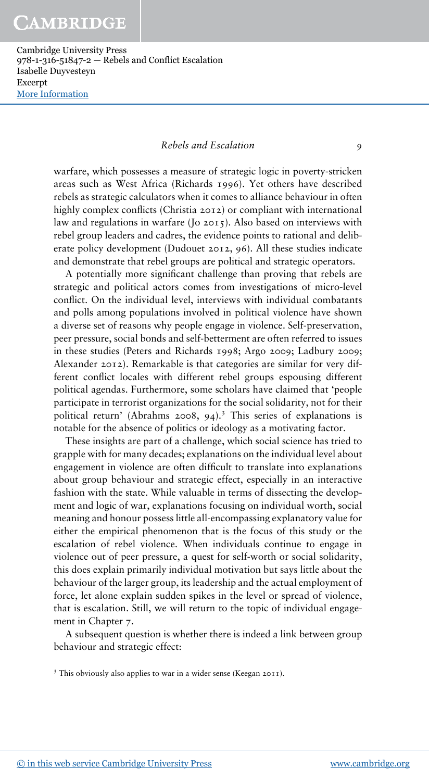# Rebels and Escalation 9

warfare, which possesses a measure of strategic logic in poverty-stricken areas such as West Africa (Richards 1996). Yet others have described rebels as strategic calculators when it comes to alliance behaviour in often highly complex conflicts (Christia 2012) or compliant with international law and regulations in warfare (Jo 2015). Also based on interviews with rebel group leaders and cadres, the evidence points to rational and deliberate policy development (Dudouet 2012, 96). All these studies indicate and demonstrate that rebel groups are political and strategic operators.

A potentially more significant challenge than proving that rebels are strategic and political actors comes from investigations of micro-level conflict. On the individual level, interviews with individual combatants and polls among populations involved in political violence have shown a diverse set of reasons why people engage in violence. Self-preservation, peer pressure, social bonds and self-betterment are often referred to issues in these studies (Peters and Richards 1998; Argo 2009; Ladbury 2009; Alexander 2012). Remarkable is that categories are similar for very different conflict locales with different rebel groups espousing different political agendas. Furthermore, some scholars have claimed that 'people participate in terrorist organizations for the social solidarity, not for their political return' (Abrahms 2008, 94).<sup>3</sup> This series of explanations is notable for the absence of politics or ideology as a motivating factor.

These insights are part of a challenge, which social science has tried to grapple with for many decades; explanations on the individual level about engagement in violence are often difficult to translate into explanations about group behaviour and strategic effect, especially in an interactive fashion with the state. While valuable in terms of dissecting the development and logic of war, explanations focusing on individual worth, social meaning and honour possess little all-encompassing explanatory value for either the empirical phenomenon that is the focus of this study or the escalation of rebel violence. When individuals continue to engage in violence out of peer pressure, a quest for self-worth or social solidarity, this does explain primarily individual motivation but says little about the behaviour of the larger group, its leadership and the actual employment of force, let alone explain sudden spikes in the level or spread of violence, that is escalation. Still, we will return to the topic of individual engagement in Chapter 7.

A subsequent question is whether there is indeed a link between group behaviour and strategic effect:

<sup>3</sup> This obviously also applies to war in a wider sense (Keegan 2011).